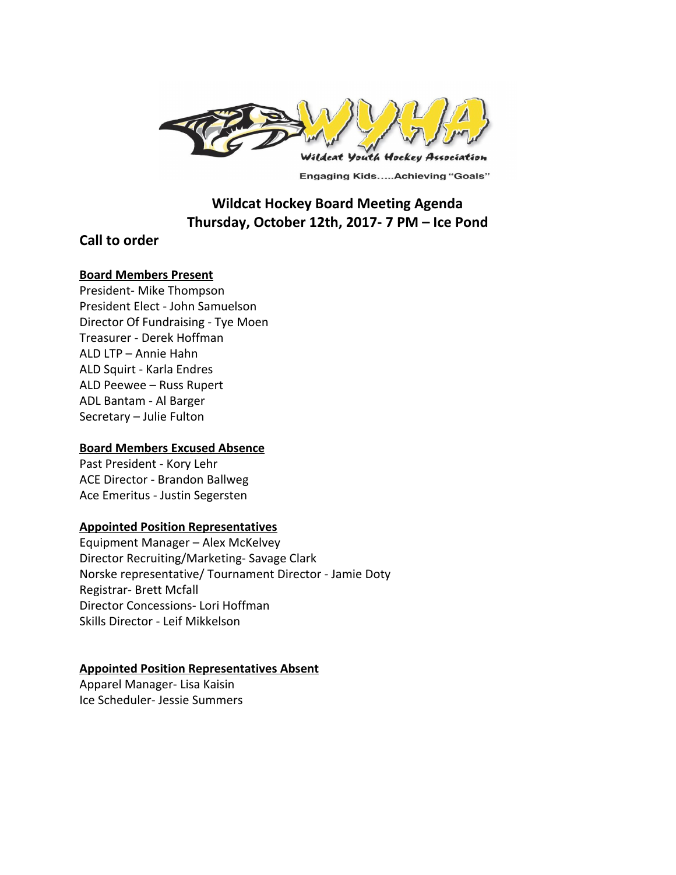

**Engaging Kids.....Achieving "Goals"** 

# **Wildcat Hockey Board Meeting Agenda Thursday, October 12th, 2017- 7 PM – Ice Pond**

## **Call to order**

#### **Board Members Present**

President- Mike Thompson President Elect - John Samuelson Director Of Fundraising - Tye Moen Treasurer - Derek Hoffman ALD LTP – Annie Hahn ALD Squirt - Karla Endres ALD Peewee – Russ Rupert ADL Bantam - Al Barger Secretary – Julie Fulton

## **Board Members Excused Absence**

Past President - Kory Lehr ACE Director - Brandon Ballweg Ace Emeritus - Justin Segersten

## **Appointed Position Representatives**

Equipment Manager – Alex McKelvey Director Recruiting/Marketing- Savage Clark Norske representative/ Tournament Director - Jamie Doty Registrar- Brett Mcfall Director Concessions- Lori Hoffman Skills Director - Leif Mikkelson

## **Appointed Position Representatives Absent**

Apparel Manager- Lisa Kaisin Ice Scheduler- Jessie Summers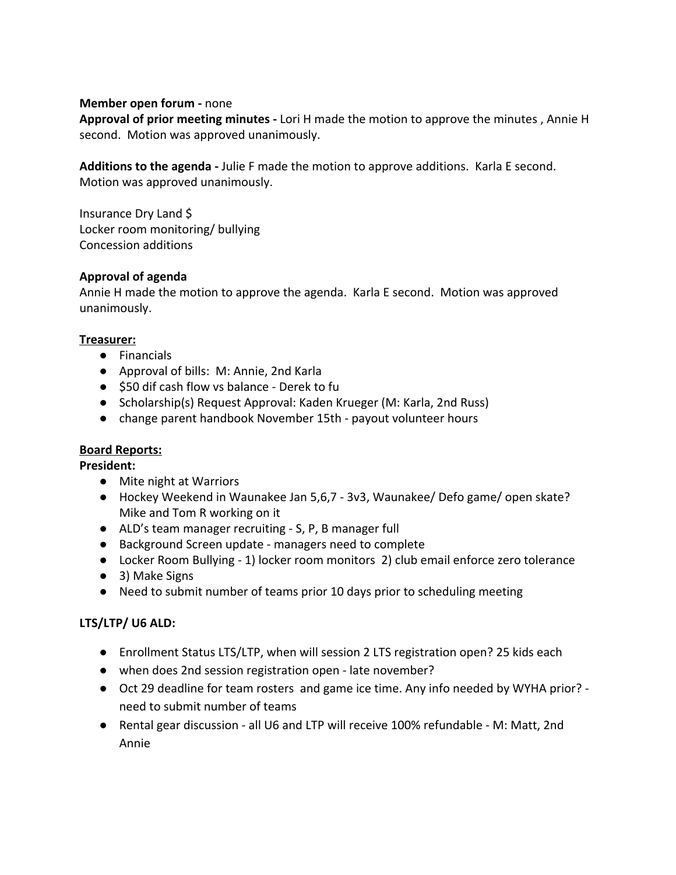## **Member open forum -** none

**Approval of prior meeting minutes -** Lori H made the motion to approve the minutes , Annie H second. Motion was approved unanimously.

**Additions to the agenda -** Julie F made the motion to approve additions. Karla E second. Motion was approved unanimously.

Insurance Dry Land \$ Locker room monitoring/ bullying Concession additions

## **Approval of agenda**

Annie H made the motion to approve the agenda. Karla E second. Motion was approved unanimously.

#### **Treasurer:**

- Financials
- Approval of bills: M: Annie, 2nd Karla
- \$50 dif cash flow vs balance Derek to fu
- Scholarship(s) Request Approval: Kaden Krueger (M: Karla, 2nd Russ)
- change parent handbook November 15th payout volunteer hours

## **Board Reports:**

**President:**

- Mite night at Warriors
- Hockey Weekend in Waunakee Jan 5,6,7 3v3, Waunakee/ Defo game/ open skate? Mike and Tom R working on it
- ALD's team manager recruiting S, P, B manager full
- Background Screen update managers need to complete
- Locker Room Bullying 1) locker room monitors 2) club email enforce zero tolerance
- 3) Make Signs
- Need to submit number of teams prior 10 days prior to scheduling meeting

## **LTS/LTP/ U6 ALD:**

- Enrollment Status LTS/LTP, when will session 2 LTS registration open? 25 kids each
- when does 2nd session registration open late november?
- Oct 29 deadline for team rosters and game ice time. Any info needed by WYHA prior? need to submit number of teams
- Rental gear discussion all U6 and LTP will receive 100% refundable M: Matt, 2nd Annie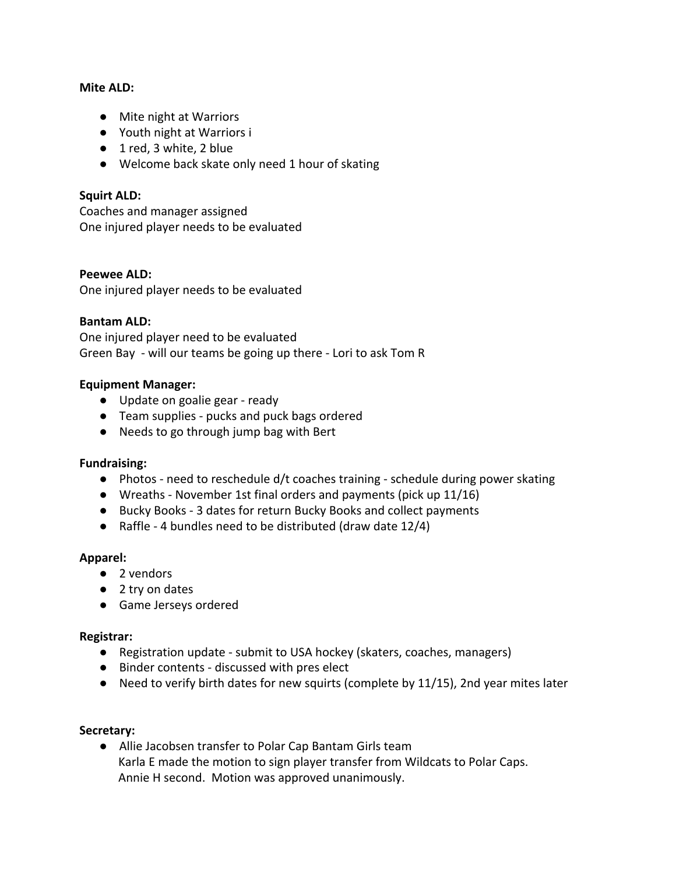#### **Mite ALD:**

- Mite night at Warriors
- Youth night at Warriors i
- 1 red, 3 white, 2 blue
- Welcome back skate only need 1 hour of skating

## **Squirt ALD:**

Coaches and manager assigned One injured player needs to be evaluated

## **Peewee ALD:**

One injured player needs to be evaluated

#### **Bantam ALD:**

One injured player need to be evaluated Green Bay - will our teams be going up there - Lori to ask Tom R

#### **Equipment Manager:**

- Update on goalie gear ready
- Team supplies pucks and puck bags ordered
- Needs to go through jump bag with Bert

## **Fundraising:**

- $\bullet$  Photos need to reschedule d/t coaches training schedule during power skating
- Wreaths November 1st final orders and payments (pick up 11/16)
- Bucky Books 3 dates for return Bucky Books and collect payments
- Raffle 4 bundles need to be distributed (draw date 12/4)

## **Apparel:**

- **●** 2 vendors
- 2 try on dates
- Game Jerseys ordered

#### **Registrar:**

- Registration update submit to USA hockey (skaters, coaches, managers)
- Binder contents discussed with pres elect
- Need to verify birth dates for new squirts (complete by 11/15), 2nd year mites later

#### **Secretary:**

● Allie Jacobsen transfer to Polar Cap Bantam Girls team Karla E made the motion to sign player transfer from Wildcats to Polar Caps. Annie H second. Motion was approved unanimously.